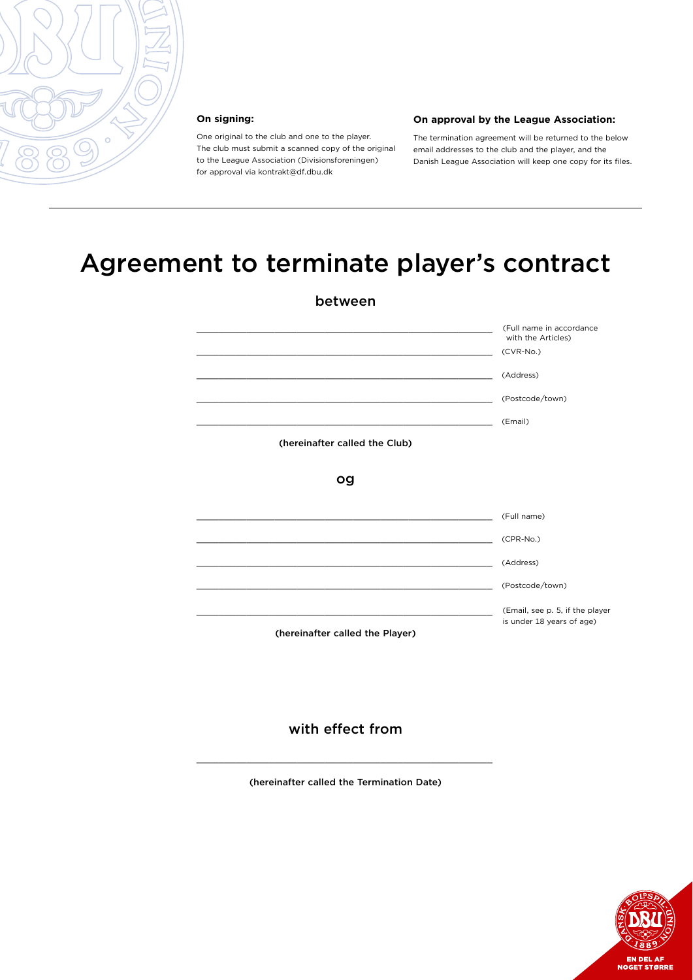

#### **On signing:**

One original to the club and one to the player. The club must submit a scanned copy of the original to the League Association (Divisionsforeningen) for approval via kontrakt@df.dbu.dk

#### **On approval by the League Association:**

The termination agreement will be returned to the below email addresses to the club and the player, and the Danish League Association will keep one copy for its files.

# Agreement to terminate player's contract

| between                         |                                                              |
|---------------------------------|--------------------------------------------------------------|
|                                 | (Full name in accordance<br>with the Articles)               |
|                                 | $(CVR-No.)$                                                  |
|                                 | (Address)                                                    |
|                                 | (Postcode/town)                                              |
|                                 | (Email)                                                      |
| (hereinafter called the Club)   |                                                              |
| og                              |                                                              |
|                                 | (Full name)                                                  |
|                                 | (CPR-No.)                                                    |
|                                 | (Address)                                                    |
|                                 | (Postcode/town)                                              |
|                                 | (Email, see p. 5, if the player<br>is under 18 years of age) |
| (hereinafter called the Player) |                                                              |

#### with effect from

(hereinafter called the Termination Date)

 $\overline{\phantom{a}}$  , and the contract of the contract of the contract of the contract of the contract of the contract of the contract of the contract of the contract of the contract of the contract of the contract of the contrac

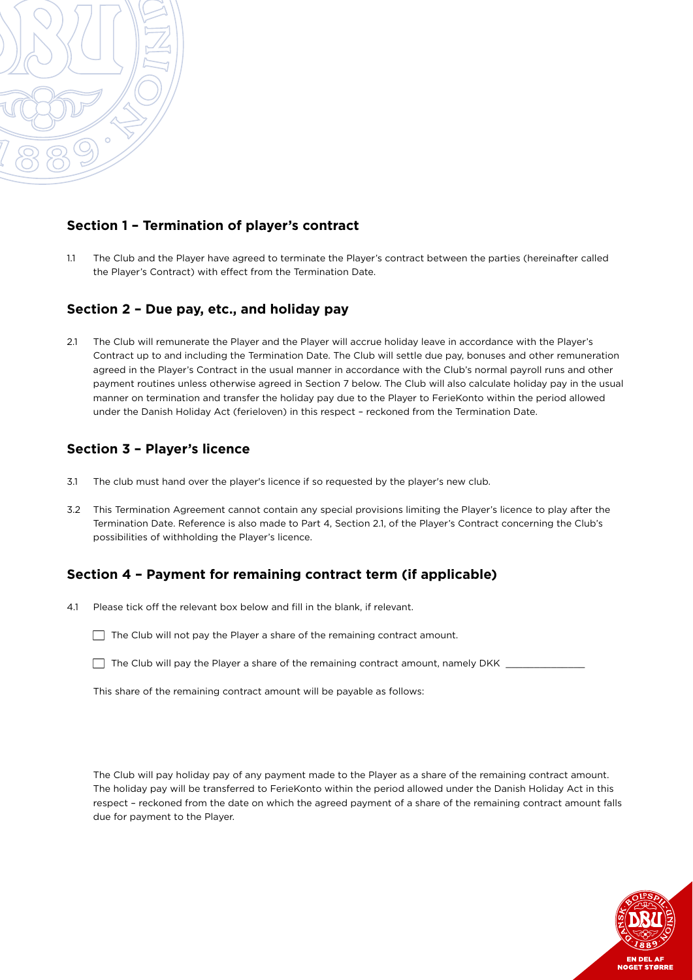

#### **Section 1 – Termination of player's contract**

1.1 The Club and the Player have agreed to terminate the Player's contract between the parties (hereinafter called the Player's Contract) with effect from the Termination Date.

#### **Section 2 – Due pay, etc., and holiday pay**

2.1 The Club will remunerate the Player and the Player will accrue holiday leave in accordance with the Player's Contract up to and including the Termination Date. The Club will settle due pay, bonuses and other remuneration agreed in the Player's Contract in the usual manner in accordance with the Club's normal payroll runs and other payment routines unless otherwise agreed in Section 7 below. The Club will also calculate holiday pay in the usual manner on termination and transfer the holiday pay due to the Player to FerieKonto within the period allowed under the Danish Holiday Act (ferieloven) in this respect – reckoned from the Termination Date.

### **Section 3 – Player's licence**

- 3.1 The club must hand over the player's licence if so requested by the player's new club.
- 3.2 This Termination Agreement cannot contain any special provisions limiting the Player's licence to play after the Termination Date. Reference is also made to Part 4, Section 2.1, of the Player's Contract concerning the Club's possibilities of withholding the Player's licence.

#### **Section 4 – Payment for remaining contract term (if applicable)**

- 4.1 Please tick off the relevant box below and fill in the blank, if relevant.
	- $\Box$  The Club will not pay the Player a share of the remaining contract amount.
	- $\Box$  The Club will pay the Player a share of the remaining contract amount, namely DKK  $\Box$

This share of the remaining contract amount will be payable as follows:

The Club will pay holiday pay of any payment made to the Player as a share of the remaining contract amount. The holiday pay will be transferred to FerieKonto within the period allowed under the Danish Holiday Act in this respect – reckoned from the date on which the agreed payment of a share of the remaining contract amount falls due for payment to the Player.

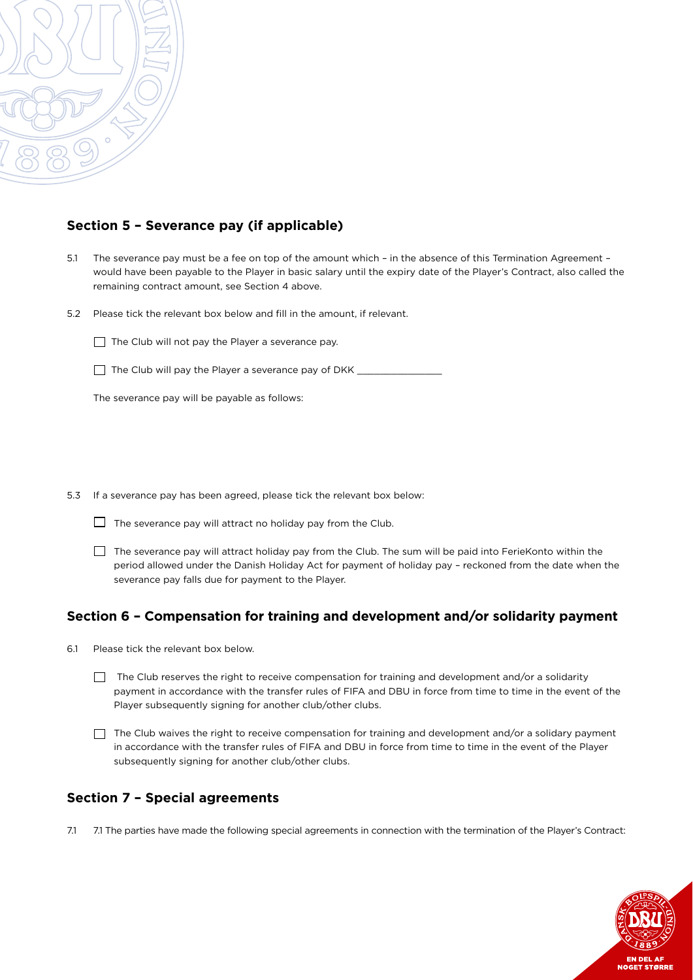

#### **Section 5 – Severance pay (if applicable)**

- 5.1 The severance pay must be a fee on top of the amount which in the absence of this Termination Agreement would have been payable to the Player in basic salary until the expiry date of the Player's Contract, also called the remaining contract amount, see Section 4 above.
- 5.2 Please tick the relevant box below and fill in the amount, if relevant.

 $\Box$  The Club will not pay the Player a severance pay.

The Club will pay the Player a severance pay of DKK \_\_\_\_\_\_\_\_\_\_\_\_\_\_\_\_\_\_\_\_\_\_\_\_\_\_\_\_

The severance pay will be payable as follows:

5.3 If a severance pay has been agreed, please tick the relevant box below:

- $\Box$  The severance pay will attract no holiday pay from the Club.
- $\Box$  The severance pay will attract holiday pay from the Club. The sum will be paid into FerieKonto within the period allowed under the Danish Holiday Act for payment of holiday pay – reckoned from the date when the severance pay falls due for payment to the Player.

#### **Section 6 – Compensation for training and development and/or solidarity payment**

- 6.1 Please tick the relevant box below.
	- The Club reserves the right to receive compensation for training and development and/or a solidarity payment in accordance with the transfer rules of FIFA and DBU in force from time to time in the event of the Player subsequently signing for another club/other clubs.
	- $\Box$  The Club waives the right to receive compensation for training and development and/or a solidary payment in accordance with the transfer rules of FIFA and DBU in force from time to time in the event of the Player subsequently signing for another club/other clubs.

#### **Section 7 – Special agreements**

7.1 7.1 The parties have made the following special agreements in connection with the termination of the Player's Contract:

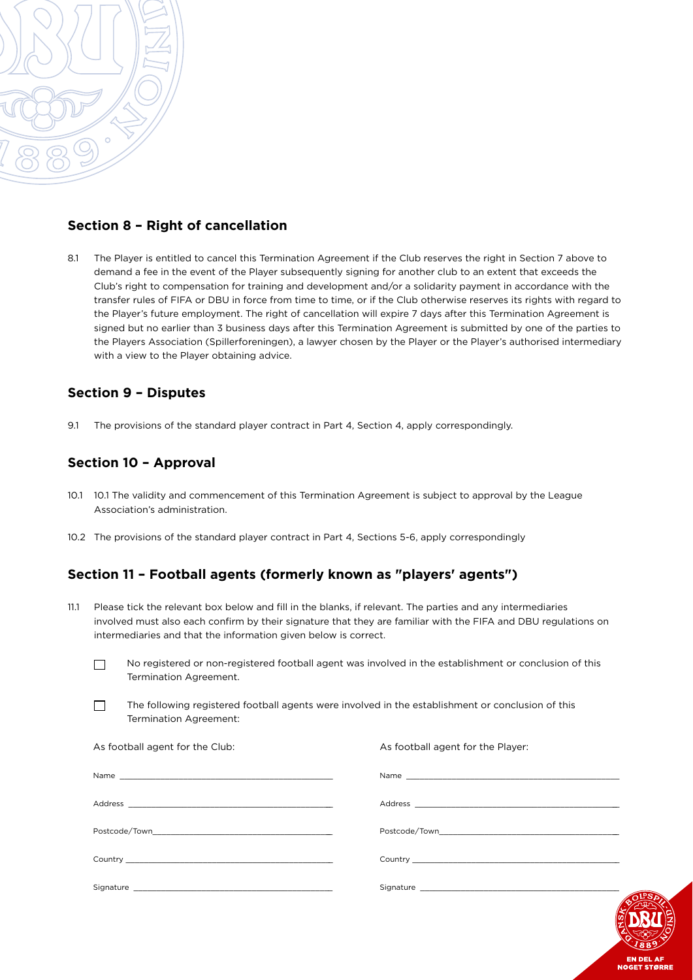

#### **Section 8 – Right of cancellation**

8.1 The Player is entitled to cancel this Termination Agreement if the Club reserves the right in Section 7 above to demand a fee in the event of the Player subsequently signing for another club to an extent that exceeds the Club's right to compensation for training and development and/or a solidarity payment in accordance with the transfer rules of FIFA or DBU in force from time to time, or if the Club otherwise reserves its rights with regard to the Player's future employment. The right of cancellation will expire 7 days after this Termination Agreement is signed but no earlier than 3 business days after this Termination Agreement is submitted by one of the parties to the Players Association (Spillerforeningen), a lawyer chosen by the Player or the Player's authorised intermediary with a view to the Player obtaining advice.

#### **Section 9 – Disputes**

9.1 The provisions of the standard player contract in Part 4, Section 4, apply correspondingly.

#### **Section 10 – Approval**

- 10.1 10.1 The validity and commencement of this Termination Agreement is subject to approval by the League Association's administration.
- 10.2 The provisions of the standard player contract in Part 4, Sections 5-6, apply correspondingly

#### **Section 11 – Football agents (formerly known as "players' agents")**

- 11.1 Please tick the relevant box below and fill in the blanks, if relevant. The parties and any intermediaries involved must also each confirm by their signature that they are familiar with the FIFA and DBU regulations on intermediaries and that the information given below is correct.
	- No registered or non-registered football agent was involved in the establishment or conclusion of this Termination Agreement.
	- The following registered football agents were involved in the establishment or conclusion of this Termination Agreement:

| As football agent for the Club: | As football agent for the Player: |
|---------------------------------|-----------------------------------|
|                                 |                                   |
|                                 |                                   |
|                                 |                                   |
|                                 |                                   |
|                                 |                                   |